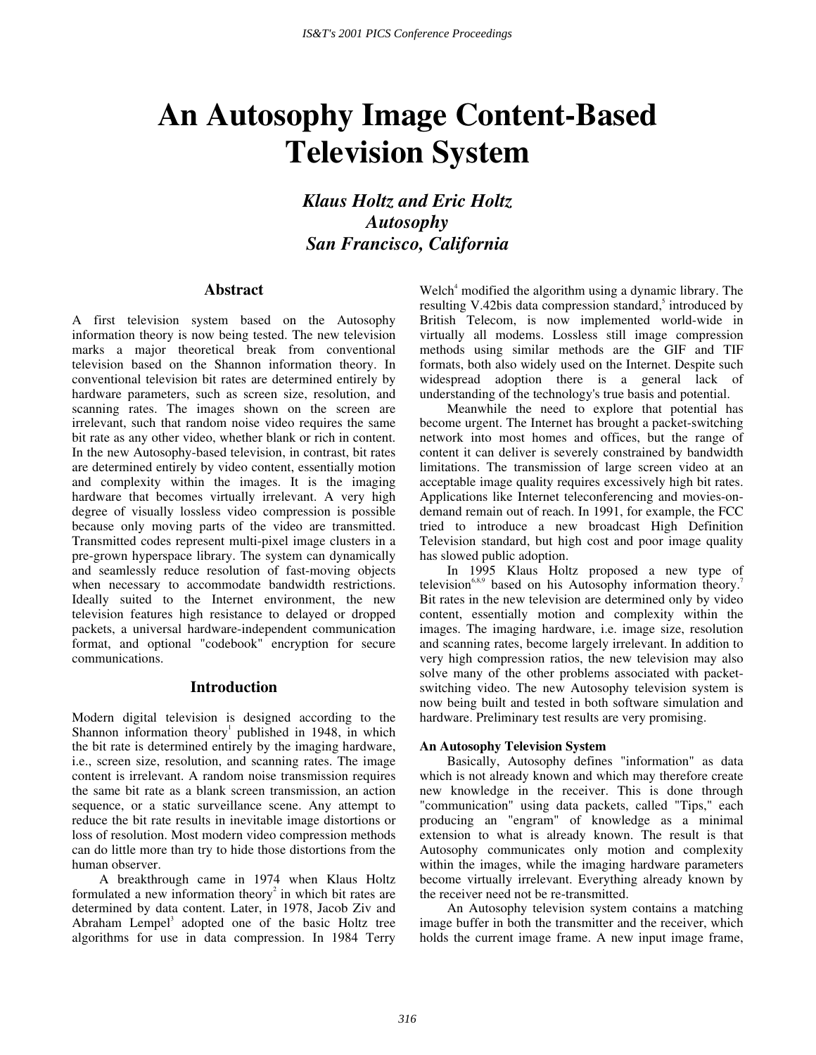# **An Autosophy Image Content-Based Television System**

*Klaus Holtz and Eric Holtz Autosophy San Francisco, California* 

# **Abstract**

A first television system based on the Autosophy information theory is now being tested. The new television marks a major theoretical break from conventional television based on the Shannon information theory. In conventional television bit rates are determined entirely by hardware parameters, such as screen size, resolution, and scanning rates. The images shown on the screen are irrelevant, such that random noise video requires the same bit rate as any other video, whether blank or rich in content. In the new Autosophy-based television, in contrast, bit rates are determined entirely by video content, essentially motion and complexity within the images. It is the imaging hardware that becomes virtually irrelevant. A very high degree of visually lossless video compression is possible because only moving parts of the video are transmitted. Transmitted codes represent multi-pixel image clusters in a pre-grown hyperspace library. The system can dynamically and seamlessly reduce resolution of fast-moving objects when necessary to accommodate bandwidth restrictions. Ideally suited to the Internet environment, the new television features high resistance to delayed or dropped packets, a universal hardware-independent communication format, and optional "codebook" encryption for secure communications.

## **Introduction**

Modern digital television is designed according to the Shannon information theory<sup>1</sup> published in 1948, in which the bit rate is determined entirely by the imaging hardware, i.e., screen size, resolution, and scanning rates. The image content is irrelevant. A random noise transmission requires the same bit rate as a blank screen transmission, an action sequence, or a static surveillance scene. Any attempt to reduce the bit rate results in inevitable image distortions or loss of resolution. Most modern video compression methods can do little more than try to hide those distortions from the human observer.

 A breakthrough came in 1974 when Klaus Holtz formulated a new information theory<sup>2</sup> in which bit rates are determined by data content. Later, in 1978, Jacob Ziv and Abraham Lempel<sup>3</sup> adopted one of the basic Holtz tree algorithms for use in data compression. In 1984 Terry

Welch<sup>4</sup> modified the algorithm using a dynamic library. The resulting V.42bis data compression standard,<sup>5</sup> introduced by British Telecom, is now implemented world-wide in virtually all modems. Lossless still image compression methods using similar methods are the GIF and TIF formats, both also widely used on the Internet. Despite such widespread adoption there is a general lack of understanding of the technology's true basis and potential.

 Meanwhile the need to explore that potential has become urgent. The Internet has brought a packet-switching network into most homes and offices, but the range of content it can deliver is severely constrained by bandwidth limitations. The transmission of large screen video at an acceptable image quality requires excessively high bit rates. Applications like Internet teleconferencing and movies-ondemand remain out of reach. In 1991, for example, the FCC tried to introduce a new broadcast High Definition Television standard, but high cost and poor image quality has slowed public adoption.

 In 1995 Klaus Holtz proposed a new type of television<sup>6,8,9</sup> based on his Autosophy information theory.<sup>7</sup> Bit rates in the new television are determined only by video content, essentially motion and complexity within the images. The imaging hardware, i.e. image size, resolution and scanning rates, become largely irrelevant. In addition to very high compression ratios, the new television may also solve many of the other problems associated with packetswitching video. The new Autosophy television system is now being built and tested in both software simulation and hardware. Preliminary test results are very promising.

#### **An Autosophy Television System**

 Basically, Autosophy defines "information" as data which is not already known and which may therefore create new knowledge in the receiver. This is done through "communication" using data packets, called "Tips," each producing an "engram" of knowledge as a minimal extension to what is already known. The result is that Autosophy communicates only motion and complexity within the images, while the imaging hardware parameters become virtually irrelevant. Everything already known by the receiver need not be re-transmitted.

 An Autosophy television system contains a matching image buffer in both the transmitter and the receiver, which holds the current image frame. A new input image frame,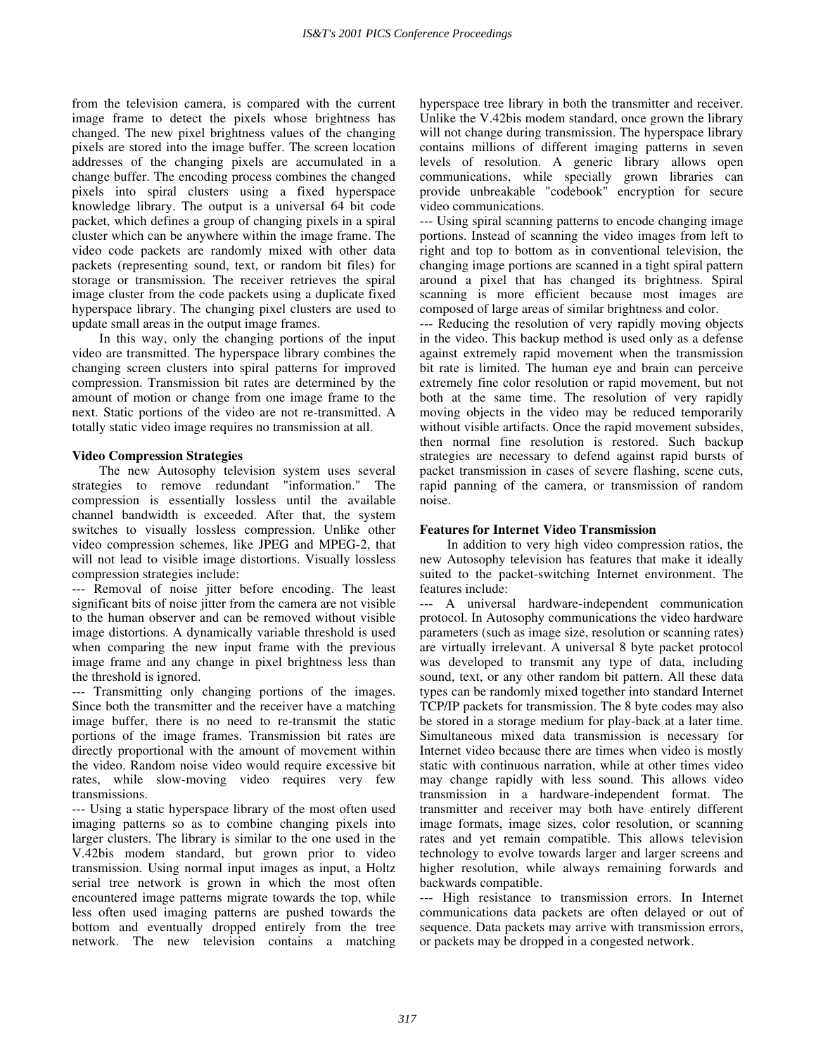from the television camera, is compared with the current image frame to detect the pixels whose brightness has changed. The new pixel brightness values of the changing pixels are stored into the image buffer. The screen location addresses of the changing pixels are accumulated in a change buffer. The encoding process combines the changed pixels into spiral clusters using a fixed hyperspace knowledge library. The output is a universal 64 bit code packet, which defines a group of changing pixels in a spiral cluster which can be anywhere within the image frame. The video code packets are randomly mixed with other data packets (representing sound, text, or random bit files) for storage or transmission. The receiver retrieves the spiral image cluster from the code packets using a duplicate fixed hyperspace library. The changing pixel clusters are used to update small areas in the output image frames.

 In this way, only the changing portions of the input video are transmitted. The hyperspace library combines the changing screen clusters into spiral patterns for improved compression. Transmission bit rates are determined by the amount of motion or change from one image frame to the next. Static portions of the video are not re-transmitted. A totally static video image requires no transmission at all.

### **Video Compression Strategies**

 The new Autosophy television system uses several strategies to remove redundant "information." The compression is essentially lossless until the available channel bandwidth is exceeded. After that, the system switches to visually lossless compression. Unlike other video compression schemes, like JPEG and MPEG-2, that will not lead to visible image distortions. Visually lossless compression strategies include:

--- Removal of noise jitter before encoding. The least significant bits of noise jitter from the camera are not visible to the human observer and can be removed without visible image distortions. A dynamically variable threshold is used when comparing the new input frame with the previous image frame and any change in pixel brightness less than the threshold is ignored.

--- Transmitting only changing portions of the images. Since both the transmitter and the receiver have a matching image buffer, there is no need to re-transmit the static portions of the image frames. Transmission bit rates are directly proportional with the amount of movement within the video. Random noise video would require excessive bit rates, while slow-moving video requires very few transmissions.

--- Using a static hyperspace library of the most often used imaging patterns so as to combine changing pixels into larger clusters. The library is similar to the one used in the V.42bis modem standard, but grown prior to video transmission. Using normal input images as input, a Holtz serial tree network is grown in which the most often encountered image patterns migrate towards the top, while less often used imaging patterns are pushed towards the bottom and eventually dropped entirely from the tree network. The new television contains a matching hyperspace tree library in both the transmitter and receiver. Unlike the V.42bis modem standard, once grown the library will not change during transmission. The hyperspace library contains millions of different imaging patterns in seven levels of resolution. A generic library allows open communications, while specially grown libraries can provide unbreakable "codebook" encryption for secure video communications.

--- Using spiral scanning patterns to encode changing image portions. Instead of scanning the video images from left to right and top to bottom as in conventional television, the changing image portions are scanned in a tight spiral pattern around a pixel that has changed its brightness. Spiral scanning is more efficient because most images are composed of large areas of similar brightness and color.

--- Reducing the resolution of very rapidly moving objects in the video. This backup method is used only as a defense against extremely rapid movement when the transmission bit rate is limited. The human eye and brain can perceive extremely fine color resolution or rapid movement, but not both at the same time. The resolution of very rapidly moving objects in the video may be reduced temporarily without visible artifacts. Once the rapid movement subsides, then normal fine resolution is restored. Such backup strategies are necessary to defend against rapid bursts of packet transmission in cases of severe flashing, scene cuts, rapid panning of the camera, or transmission of random noise.

#### **Features for Internet Video Transmission**

 In addition to very high video compression ratios, the new Autosophy television has features that make it ideally suited to the packet-switching Internet environment. The features include:

--- A universal hardware-independent communication protocol. In Autosophy communications the video hardware parameters (such as image size, resolution or scanning rates) are virtually irrelevant. A universal 8 byte packet protocol was developed to transmit any type of data, including sound, text, or any other random bit pattern. All these data types can be randomly mixed together into standard Internet TCP/IP packets for transmission. The 8 byte codes may also be stored in a storage medium for play-back at a later time. Simultaneous mixed data transmission is necessary for Internet video because there are times when video is mostly static with continuous narration, while at other times video may change rapidly with less sound. This allows video transmission in a hardware-independent format. The transmitter and receiver may both have entirely different image formats, image sizes, color resolution, or scanning rates and yet remain compatible. This allows television technology to evolve towards larger and larger screens and higher resolution, while always remaining forwards and backwards compatible.

--- High resistance to transmission errors. In Internet communications data packets are often delayed or out of sequence. Data packets may arrive with transmission errors, or packets may be dropped in a congested network.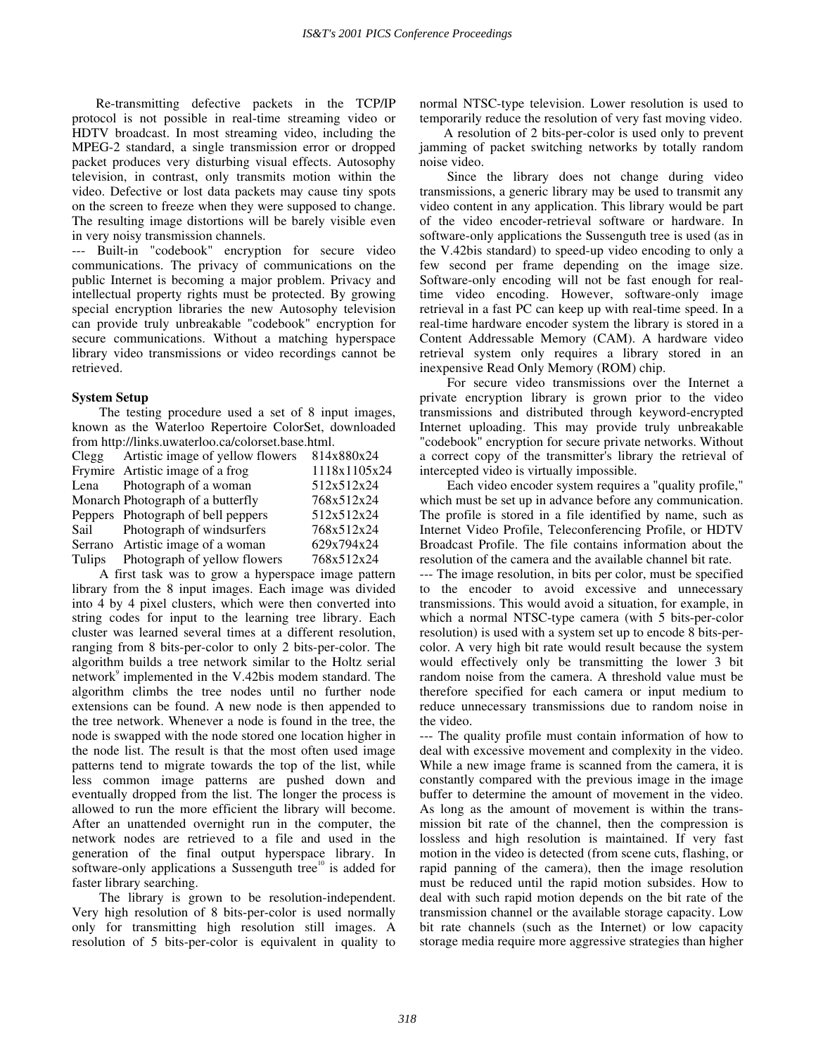Re-transmitting defective packets in the TCP/IP protocol is not possible in real-time streaming video or HDTV broadcast. In most streaming video, including the MPEG-2 standard, a single transmission error or dropped packet produces very disturbing visual effects. Autosophy television, in contrast, only transmits motion within the video. Defective or lost data packets may cause tiny spots on the screen to freeze when they were supposed to change. The resulting image distortions will be barely visible even in very noisy transmission channels.

--- Built-in "codebook" encryption for secure video communications. The privacy of communications on the public Internet is becoming a major problem. Privacy and intellectual property rights must be protected. By growing special encryption libraries the new Autosophy television can provide truly unbreakable "codebook" encryption for secure communications. Without a matching hyperspace library video transmissions or video recordings cannot be retrieved.

# **System Setup**

 The testing procedure used a set of 8 input images, known as the Waterloo Repertoire ColorSet, downloaded from http://links.uwaterloo.ca/colorset.base.html.

|      | Clegg Artistic image of yellow flowers | 814x880x24   |
|------|----------------------------------------|--------------|
|      | Frymire Artistic image of a frog       | 1118x1105x24 |
|      | Lena Photograph of a woman             | 512x512x24   |
|      | Monarch Photograph of a butterfly      | 768x512x24   |
|      | Peppers Photograph of bell peppers     | 512x512x24   |
| Sail | Photograph of windsurfers              | 768x512x24   |
|      | Serrano Artistic image of a woman      | 629x794x24   |
|      | Tulips Photograph of yellow flowers    | 768x512x24   |

 A first task was to grow a hyperspace image pattern library from the 8 input images. Each image was divided into 4 by 4 pixel clusters, which were then converted into string codes for input to the learning tree library. Each cluster was learned several times at a different resolution, ranging from 8 bits-per-color to only 2 bits-per-color. The algorithm builds a tree network similar to the Holtz serial network<sup>9</sup> implemented in the V.42bis modem standard. The algorithm climbs the tree nodes until no further node extensions can be found. A new node is then appended to the tree network. Whenever a node is found in the tree, the node is swapped with the node stored one location higher in the node list. The result is that the most often used image patterns tend to migrate towards the top of the list, while less common image patterns are pushed down and eventually dropped from the list. The longer the process is allowed to run the more efficient the library will become. After an unattended overnight run in the computer, the network nodes are retrieved to a file and used in the generation of the final output hyperspace library. In software-only applications a Sussenguth tree<sup>10</sup> is added for faster library searching.

 The library is grown to be resolution-independent. Very high resolution of 8 bits-per-color is used normally only for transmitting high resolution still images. A resolution of 5 bits-per-color is equivalent in quality to normal NTSC-type television. Lower resolution is used to temporarily reduce the resolution of very fast moving video.

A resolution of 2 bits-per-color is used only to prevent jamming of packet switching networks by totally random noise video.

 Since the library does not change during video transmissions, a generic library may be used to transmit any video content in any application. This library would be part of the video encoder-retrieval software or hardware. In software-only applications the Sussenguth tree is used (as in the V.42bis standard) to speed-up video encoding to only a few second per frame depending on the image size. Software-only encoding will not be fast enough for realtime video encoding. However, software-only image retrieval in a fast PC can keep up with real-time speed. In a real-time hardware encoder system the library is stored in a Content Addressable Memory (CAM). A hardware video retrieval system only requires a library stored in an inexpensive Read Only Memory (ROM) chip.

 For secure video transmissions over the Internet a private encryption library is grown prior to the video transmissions and distributed through keyword-encrypted Internet uploading. This may provide truly unbreakable "codebook" encryption for secure private networks. Without a correct copy of the transmitter's library the retrieval of intercepted video is virtually impossible.

 Each video encoder system requires a "quality profile," which must be set up in advance before any communication. The profile is stored in a file identified by name, such as Internet Video Profile, Teleconferencing Profile, or HDTV Broadcast Profile. The file contains information about the resolution of the camera and the available channel bit rate.

--- The image resolution, in bits per color, must be specified to the encoder to avoid excessive and unnecessary transmissions. This would avoid a situation, for example, in which a normal NTSC-type camera (with 5 bits-per-color resolution) is used with a system set up to encode 8 bits-percolor. A very high bit rate would result because the system would effectively only be transmitting the lower 3 bit random noise from the camera. A threshold value must be therefore specified for each camera or input medium to reduce unnecessary transmissions due to random noise in the video.

--- The quality profile must contain information of how to deal with excessive movement and complexity in the video. While a new image frame is scanned from the camera, it is constantly compared with the previous image in the image buffer to determine the amount of movement in the video. As long as the amount of movement is within the transmission bit rate of the channel, then the compression is lossless and high resolution is maintained. If very fast motion in the video is detected (from scene cuts, flashing, or rapid panning of the camera), then the image resolution must be reduced until the rapid motion subsides. How to deal with such rapid motion depends on the bit rate of the transmission channel or the available storage capacity. Low bit rate channels (such as the Internet) or low capacity storage media require more aggressive strategies than higher